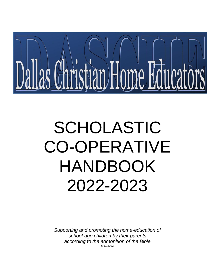

# SCHOLASTIC CO-OPERATIVE HANDBOOK 2022-2023

*Supporting and promoting the home-education of school-age children by their parents according to the admonition of the Bible* 6/11/2022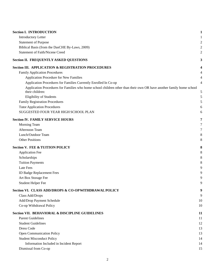| <b>Section I. INTRODUCTION</b>                                                                                                          | 1              |
|-----------------------------------------------------------------------------------------------------------------------------------------|----------------|
| <b>Introductory Letter</b>                                                                                                              |                |
| <b>Statement of Purpose</b>                                                                                                             | $\overline{c}$ |
| Biblical Basis (from the DasCHE By-Laws, 2009)                                                                                          | 2              |
| <b>Statement of Faith/Nicene Creed</b>                                                                                                  | 2              |
| <b>Section II. FREQUENTLY ASKED QUESTIONS</b>                                                                                           | 3              |
| <b>Section III. APPLICATION &amp; REGISTRATION PROCEDURES</b>                                                                           | 4              |
| <b>Family Application Procedures</b>                                                                                                    |                |
| Application Procedure for New Families                                                                                                  | 4              |
| Application Procedures for Families Currently Enrolled In Co-op                                                                         | 4              |
| Application Procedures for Families who home school children other than their own OR have another family home school<br>their children: | 5              |
| Eligibility of Students                                                                                                                 | 5              |
| <b>Family Registration Procedures</b>                                                                                                   | 5              |
| <b>Tutor Application Procedures</b>                                                                                                     | 6              |
| SUGGESTED FOUR YEAR HIGH SCHOOL PLAN                                                                                                    | 6              |
| <b>Section IV. FAMILY SERVICE HOURS</b>                                                                                                 | 7              |
| Morning Team                                                                                                                            | 7              |
| Afternoon Team                                                                                                                          | 7              |
| Lunch/Outdoor Team                                                                                                                      | 8              |
| <b>Other Positions</b>                                                                                                                  | 8              |
| <b>Section V. FEE &amp; TUITION POLICY</b>                                                                                              | 8              |
| <b>Application Fee</b>                                                                                                                  | 8              |
| Scholarships                                                                                                                            | 8              |
| <b>Tuition Payments</b>                                                                                                                 | 8              |
| Late Fees                                                                                                                               | 9              |
| <b>ID Badge Replacement Fees</b>                                                                                                        | 9              |
| Art Box Storage Fee                                                                                                                     | 9              |
| <b>Student Helper Fee</b>                                                                                                               | 9              |
| Section VI. CLASS ADD/DROPS & CO-OP WITHDRAWAL POLICY                                                                                   | 9              |
| Class Add/Drops                                                                                                                         | 9              |
| Add/Drop Payment Schedule                                                                                                               | 10             |
| Co-op Withdrawal Policy                                                                                                                 | 10             |
| Section VII. BEHAVIORAL & DISCIPLINE GUIDELINES                                                                                         | 11             |
| <b>Parent Guidelines</b>                                                                                                                | 11             |
| <b>Student Guidelines</b>                                                                                                               | 12             |
| Dress Code                                                                                                                              | 13             |
| <b>Open Communication Policy</b>                                                                                                        | 13             |
| <b>Student Misconduct Policy</b>                                                                                                        | 14             |
| Information Included in Incident Report                                                                                                 | 14             |
| Dismissal from Co-op                                                                                                                    | 15             |

## 2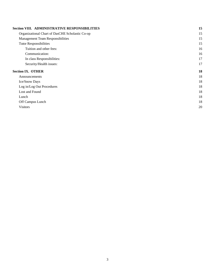| <b>Section VIII. ADMINISTRATIVE RESPONSIBILITIES</b> | 15 |
|------------------------------------------------------|----|
| Organizational Chart of DasCHE Scholastic Co-op      | 15 |
| Management Team Responsibilities                     | 15 |
| <b>Tutor Responsibilities</b>                        | 15 |
| Tuition and other fees:                              | 16 |
| Communication:                                       | 16 |
| In class Responsibilities:                           | 17 |
| Security/Health issues:                              | 17 |
| <b>Section IX. OTHER</b>                             | 18 |
|                                                      |    |
| Announcements                                        | 18 |
| Ice/Snow Days                                        | 18 |
| Log in/Log Out Procedures                            | 18 |
| Lost and Found                                       | 18 |
| Lunch                                                | 18 |
| Off Campus Lunch                                     | 18 |

[Visitors](#page-21-1) 20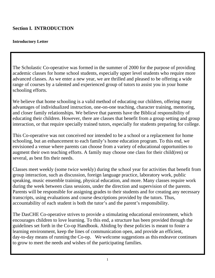# <span id="page-3-0"></span>**Section I. INTRODUCTION**

## <span id="page-3-1"></span>**Introductory Letter**

The Scholastic Co-operative was formed in the summer of 2000 for the purpose of providing academic classes for home school students, especially upper level students who require more advanced classes. As we enter a new year, we are thrilled and pleased to be offering a wide range of courses by a talented and experienced group of tutors to assist you in your home schooling efforts.

We believe that home schooling is a valid method of educating our children, offering many advantages of individualized instruction, one-on-one teaching, character training, mentoring, and closer family relationships. We believe that parents have the Biblical responsibility of educating their children. However, there are classes that benefit from a group setting and group interaction, or that require specially trained tutors, especially for students preparing for college.

This Co-operative was not conceived nor intended to be a school or a replacement for home schooling, but an enhancement to each family's home education program. To this end, we envisioned a venue where parents can choose from a variety of educational opportunities to augment their own teaching efforts. A family may choose one class for their child(ren) or several, as best fits their needs.

Classes meet weekly (some twice weekly) during the school year for activities that benefit from group interaction, such as discussion, foreign language practice, laboratory work, public speaking, music ensemble training, physical education, and more. Many classes require work during the week between class sessions, under the direction and supervision of the parents. Parents will be responsible for assigning grades to their students and for creating any necessary transcripts, using evaluations and course descriptions provided by the tutors. Thus, accountability of each student is both the tutor's and the parent's responsibility.

The DasCHE Co-operative strives to provide a stimulating educational environment, which encourages children to love learning. To this end, a structure has been provided through the guidelines set forth in the Co-op Handbook. Abiding by these policies is meant to foster a learning environment, keep the lines of communication open, and provide an efficient, day-to-day means of running the Co-op. We welcome suggestions as this endeavor continues to grow to meet the needs and wishes of the participating families.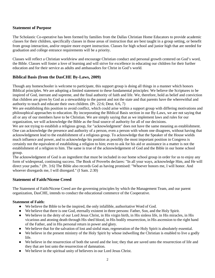## <span id="page-4-0"></span>**Statement of Purpose**

The Scholastic Co-operative has been formed by families from the Dallas Christian Home Educators to provide academic classes for their children, specifically classes in those areas of instruction that are best taught in a group setting, or benefit from group interaction, and/or require more expert instruction. Classes for high school and junior high that are needed for graduation and college entrance requirements will be a priority.

Classes will reflect a Christian worldview and encourage Christian conduct and personal growth centered on God's word, the Bible. Classes will foster a love of learning and will strive for excellence in educating our children for their further education and for their service as adults and ambassadors for Christ in God's world.

## <span id="page-4-1"></span>**Biblical Basis (from the DasCHE By-Laws, 2009)**

Though any homeschooler is welcome to participate, this support group is doing all things in a manner which honors Biblical principles. We are adopting a limited statement to these fundamental principles: We believe the Scriptures to be inspired of God, inerrant and supreme, and the final authority of faith and life. We, therefore, hold as belief and conviction that children are given by God as a stewardship to the parent and not the state and that parents have the wherewithal and authority to teach and educate their own children. (Pr. 22:6; Deut. 6:6, 7)

We are establishing this position to avoid conflict, which could arise within a support group with differing motivations and philosophical approaches to education. By incorporating the Biblical Basis section in our By-Laws, we are not saying that all or any of our members have to be Christian. We are simply saying that as we implement laws and rules for our organization, we will acknowledge the Bible as the final source of authority for all of our decisions.

We are not trying to establish a religious group, for "acknowledgment" does not have the same meaning as establishment. One can acknowledge the presence and authority of a person, even a person with whom one disagrees, without having that acknowledgment lead to the establishment of a religious group. To acknowledge that the Speaker of the House wields much influence and power, and to acknowledge his position as possibly the most important position in Congress is certainly not the equivalent of establishing a religion to him; even to ask for his aid or assistance in a matter is not the establishment of a religion to him. The same is true of the acknowledgement of God and the Bible in our home school group.

The acknowledgment of God is an ingredient that must be included in our home school group in order for us to enjoy any form of widespread, continuing success. The Book of Proverbs declares: "In all your ways, acknowledge Him, and He will direct your paths." (Pr. 3:6) The Bible also records God as having promised: "Whoever honors me, I will honor. And whoever disregards me, I will disregard." (I Sam. 2:30)

## <span id="page-4-2"></span>**Statement of Faith/Nicene Creed**

The Statement of Faith/Nicene Creed are the governing principles by which the Management Team, and our parent organization, DasCHE, intends to conduct the educational commerce of the Cooperative.

## **Statement of Faith:**

- We believe the Bible to be the inspired, the only infallible, authoritative Word of God.
- We believe that there is one God, eternally existent in three persons: Father, Son, and the Holy Spirit.
- We believe in the deity of our Lord Jesus Christ, in His virgin birth, in His sinless life, in His miracles, in His vicarious and atoning death through His shed blood, in His bodily resurrection, in His ascension to the right hand of the Father, and in His personal return in power and glory.
- We believe that for the salvation of lost and sinful man, regeneration of the Holy Spirit is absolutely essential.
- We believe in the present ministry of the Holy Spirit by whose indwelling the Christian is enabled to live a godly life.
- We believe in the resurrection of both the saved and the lost; they that are saved unto the resurrection of life and they that are lost unto the resurrection of damnation.
- We believe in the spiritual unity of believers in our Lord Jesus Christ.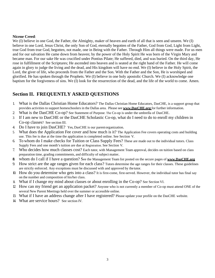#### **Nicene Creed**:

We (I) believe in one God, the Father, the Almighty, maker of heaven and earth of all that is seen and unseen. We (I) believe in one Lord, Jesus Christ, the only Son of God, eternally begotten of the Father, God from God, Light from Light, true God from true God, begotten, not made, one in Being with the Father. Through Him all things were made. For us men and for our salvation He came down from heaven; by the power of the Holy Spirit He was born of the Virgin Mary and became man. For our sake He was crucified under Pontius Pilate; He suffered, died, and was buried. On the third day, He rose in fulfillment of the Scriptures; He ascended into heaven and is seated at the right hand of the Father. He will come again in glory to judge the living and the dead, and His kingdom will have no end. We (I) believe in the Holy Spirit, the Lord, the giver of life, who proceeds from the Father and the Son. With the Father and the Son, He is worshiped and glorified. He has spoken through the Prophets. We (I) believe in one holy apostolic Church. We (I) acknowledge one baptism for the forgiveness of sins. We (I) look for the resurrection of the dead, and the life of the world to come. Amen.

## <span id="page-5-0"></span>**Section II. FREQUENTLY ASKED QUESTIONS**

- 1. What is the Dallas Christian Home Educators? The Dallas Christian Home Educators, DasCHE, is a support group that provides activities to support homeschoolers in the Dallas area. Please see **[www.DasCHE.org](http://www.swdhsa.org/)** for further information.
- 2. What is the DasCHE Co-op? See Statement of Purpose. The Co-op is under the umbrella of DasCHE.
- 3. If I am new to DasCHE or the DasCHE Scholastic Co-op, what do I need to do to enroll my children in Co-op classes? See section III.
- 4. Do I have to join DasCHE? Yes, DasCHE is our parentorganization.
- 5. What does the Application Fee cover and how much is it? The Application Fee covers operating costs and building use. This fee is due at the time the application is completed online. See Section V.
- 6. To whom do I make checks for Tuition or Class Supply Fees? These are made out to the individual tutors. Class Supply Fees and one month's tuition are due at Registration. See Section V.
- 7. Who decides how much classes cost? Each tutor, with Management Team approval, decides on tuition based on class preparation time, grading commitments, and difficulty of subject matter.
- **8.** Whom do I call if I have a question? See the Management Team list posted on the secure pages of **[www.DasCHE.org](http://www.swdhsa.org/)**
- 9. How strict are the age ranges given for each class? Tutors determine the age ranges for their classes. These guidelines are strictly enforced. Any exceptions must be discussed with and approved by thetutor.
- 10. How do you determine who gets into a class? It is first-come, first-served. However, the individual tutor has final say on the number and composition of his/her class.
- 11. What if I change my mind about classes or about enrolling in the Co-op? See Section VI.
- 12. How can my friend get an application packet? Anyone who is not currently a member of Co-op must attend ONE of the several New Parent Meetings held over the summer or accessible online.
- 13. What if I have an address change after I have registered? Please update your profile on the DasCHE website.
- 14. What are service hours? See section IV.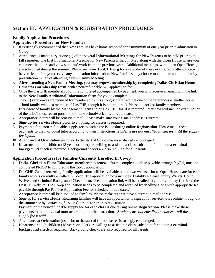# <span id="page-6-0"></span>**Section III. APPLICATION & REGISTRATION PROCEDURES**

## **Family Application Procedures**

## **Application Procedure for New Families**

- 1. It is strongly recommended that New Families have home schooled for a minimum of one year prior to admission to Co-op.
- 2. Attendance is mandatory at one (1) of the several **Informational Meetings for New Parents** to be held prior to the fall semester. The first Informational Meeting for New Parents is held in May along with the Open House where you can meet the tutors and view students' work from the previous year. Additional meetings, without an Open House, are scheduled during the summer. Please see **[www.DasCHE.org](http://www.dasche.org/)** for a calendar of these events. Your attendance will be verified before you receive any application information. New Families may choose to complete an online family presentation in lieu of attending a New Family Meeting
- 3. **After attending a New Family Meeting, you may request membership by completing Dallas Christian Home Educators membership form**, with a non-refundable \$25 application fee.
- 4. Once the DasCHE membership form is completed accompanied by payment, you will receive an email with the link to the **New Family Additional Information form** for you to complete.
- 5. Two (2) **references** are required for membership (it is strongly preferred that one of the references is another home school family who is a member of DasCHE, though it is not required). Please do not list familymembers.
- 6. **Interview** of family by the Management Team and/or DasCHE Board is required. Interview will include examination of the child's most recent portfolio of home schoolwork and/or report card.
- 7. **Acceptance** letters will be sent via e-mail. Please make sure your e-mail address is current.
- 8. **Sign-up for Service Hours prior** to enrolling for classes is required.
- *9.* Payment of the non-refundable supply fee to each tutor is due during online **Registration**. Please make these payments to the individual tutor according to their instructions. *Students are not enrolled in classes until the supply fee ispaid.*
- 10. Attendance at **Orientation** just prior to the start of Co-op classes is strongly encouraged.
- 11. If parents or adult children (18 years or older) are willing to assist in a class, substitute for a tutor, a **criminal background check** is required. Background checks are also required for all parents.

## <span id="page-6-1"></span>**Application Procedures for Families Currently Enrolled In Co-op**

- 1. **Dallas Christian Home Educators membership renewal form**, completed online payable through PayPal, must be completed PRIOR to completing the Co-op application.
- 2. **DasCHE Co-op returning family application** will be available online two weeks prior to Open House date for each family who is currently enrolled in Co-op. The application now includes: Liability Release, Injury Waiver, Covid Waiver, and Criminal Background Check form. The application link will be emailed to you or you may find it on the DasCHE website. The Co-op application needs to be completed and received by deadline along with appropriate fee payable through PayPal (see Application Fee for schedule of due dates.)
- 3. **Acceptance** letters will be e-mailed to families. Please make sure we have a current e-mail address.
- 4. Sign-up for **Service Hours**. Returning families will have an opportunity to sign up for service hours online throughout the summer or by contacting Service Coordinator prior to registration.
- *5.* Payment of the non-refundable supply fee for each class is due during online **Registration**. Please make these payments to the individual tutor according to their instructions. *Students are not enrolled in classes until the supply fee ispaid.*
- 6. Attendance at **Orientation** just prior to the start of Co-op classes is strongly encouraged.
- 7. If parents or adult children (18 years or older) are willing to assist in a class, substitute for a tutor, a **criminal background check** is required. Background checks are also required for all parents.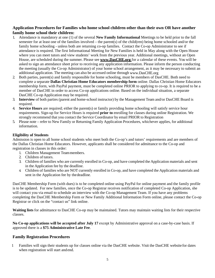## <span id="page-7-0"></span>**Application Procedures for Families who home school children other than their own OR have another family home school their children:**

- 1. Attendance is mandatory at one (1) of the several **New Family Informational** Meetings to be held prior to the fall semester for at least one of the families involved – the parent(s) of the child(ren) being home schooled and/or the family home schooling - unless both are returning co-op families. Contact the Co-op Administrator to see if attendance is required. The first Informational Meeting for New Families is held in May along with the Open House where you can meet tutors and view students' work from the previous year. Additional meetings, without an Open House, are scheduled during the summer. Please see **[www.DasCHE.org](http://www.dasche.org/)** for a calendar of these events. You will be asked to sign an attendance sheet prior to receiving any application information. Please inform the person conducting the meeting (usually the Co-op Administrator) of your home school arrangement, as it may be necessary to submit an additional application. The meeting can also be accessed online through [www.DasCHE.org](http://www.dasche.org/)
- 2. Both parties, parent(s) and family responsible for home schooling, must be members of DasCHE. Both need to complete a separate **Dallas Christian Home Educators membership form** online. Dallas Christian Home Educators membership form, with PayPal payment, must be completed online PRIOR to applying to co-op. It is required to be a member of DasCHE in order to access Co-op applications online. Based on the individual situation, a separate DasCHE Co-op Application may be required.
- 3. **Interview** of both parties (parent and home-school instructor) by the Management Team and/or DasCHE Board is required.
- 4. **Service Hours** are required; either the parent(s) or family providing home schooling will satisfy service hour requirements. Sign-up for Service Hours is required **prior to** enrolling for classes during online Registration. We strongly recommend that you contact the Service Coordinator by email PRIOR to Registration
- 5. Please note refer to New Family or Returning Family Application Procedures, whichever applies, for additional information.

## <span id="page-7-1"></span>**Eligibility of Students**

Admission is open to all home school students who meet both the Co-op's and tutors' requirements and are members of the Dallas Christian Home Educators. However, applicants shall be considered for admittance to the Co-op and registration in classes in this order:

- 1. Children Management Teammembers.
- 2. Children of tutors.
- 3. Children of families who are currently enrolled in Co-op, and have completed the Application materials and sent in the Application fee by the deadline.
- 4. Children of families who are NOT currently enrolled in Co-op, and have completed the Application materials and sent in the Application fee by thedeadline.

DasCHE Membership Form (with dues) is to be completed online using PayPal for online payment and the family profile is to be updated. For new families, once the Co-op Registrar receives notification of completed Co-op Application, she will contact you via email to schedule an interview with the Co-op Management Team. If you have any problems completing the DasCHE Membership Form or New Family Additional Information Form online, please contact the Co-op Registrar or click on the "contact us" link online.

**Waiting lists** for admittance to DasCHE Co-op may be maintained. Tutors may maintain waiting lists for their respective classes.

**No Co-op applications will be accepted after July 17** except by Administrative approval on a case-by-case basis. If approved there is a **\$75 Administrative Late Fee**.

## <span id="page-7-2"></span>**Family Registration Procedures**

1 Families will sign their students up for classes online via the DasCHE website. Visit the DasCHE website for dates when registration will start andend.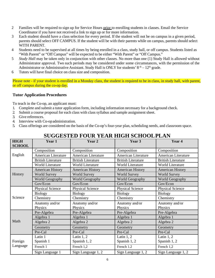- 2 Families will be required to sign up for Service Hours prior to enrolling students in classes. Email the Service Coordinator if you have not received a link to sign up or for more information.
- 3 Each student should have a class selection for every period. If the student will not be on campus in a given period, parents should select OFF CAMPUS. If the student will be with their parents while on campus, parents should select WITH PARENT.
- 4 Students need to be supervised at all times by being enrolled in a class, study hall, or off campus. Students listed as "With Parent" or "Off Campus" will be expected to be either "With Parent" or "Off Campus."
- 5 *Study Hall* may be taken only in conjunction with other classes. No more than one (1) Study Hall is allowed without Administrator approval. Two such periods may be considered under some circumstances, with the permission of the Administrator or Administrative Assistant. Study Hall is ONLY for students'  $8<sup>th</sup> - 12<sup>th</sup>$  grade.
- 6 Tutors will have final choice on class size and composition.

Please note - if your student is enrolled in a Monday class, the student is required to be in class, in study hall, with parent, or off campus during the co-op day.

## <span id="page-8-0"></span>**Tutor Application Procedures**

To teach in the Co-op, an applicant must:

- 1. Complete and submit a tutor application form, including information necessary for a background check.
- 2. Submit a course proposal for each class with class syllabus and sample assignment sheet.
- 3. Give references.
- 4. Interview with Co-opadministration.
- 5. Class offerings are considered on the basis of the Co-op's four-year plan, scheduling needs, and classroom space.

<span id="page-8-1"></span>

| <b>HIGH</b><br><b>SCHOOL</b> | Year 1                     | Year 2                    | Year 3                    | Year 4                     |
|------------------------------|----------------------------|---------------------------|---------------------------|----------------------------|
|                              | Composition                | Composition               | Composition               | Composition                |
| English                      | <b>American Literature</b> | American Literature       | American Literature       | <b>American Literature</b> |
|                              | <b>British Literature</b>  | <b>British Literature</b> | <b>British Literature</b> | <b>British Literature</b>  |
|                              | <b>World Literature</b>    | <b>World Literature</b>   | <b>World Literature</b>   | <b>World Literature</b>    |
|                              | <b>American History</b>    | <b>American History</b>   | <b>American History</b>   | <b>American History</b>    |
| History                      | <b>World Survey</b>        | <b>World Survey</b>       | <b>World Survey</b>       | <b>World Survey</b>        |
|                              | <b>World Geography</b>     | <b>World Geography</b>    | <b>World Geography</b>    | <b>World Geography</b>     |
|                              | Gov/Econ                   | Gov/Econ                  | Gov/Econ                  | Gov/Econ                   |
|                              | <b>Physical Science</b>    | <b>Physical Science</b>   | Physical Science          | <b>Physical Science</b>    |
|                              | Biology                    | <b>Biology</b>            | <b>Biology</b>            | <b>Biology</b>             |
| Science                      | Chemistry                  | Chemistry                 | Chemistry                 | Chemistry                  |
|                              | Anatomy and/or             | Anatomy and/or            | Anatomy and/or            | Anatomy and/or             |
|                              | Physics                    | Physics                   | Physics                   | Physics                    |
|                              | Pre-Algebra                | Pre-Algebra               | Pre-Algebra               | Pre-Algebra                |
|                              | Algebra 1                  | Algebra 1                 | Algebra 1                 | Algebra 1                  |
| Math                         | Algebra 2                  | Algebra 2                 | Algebra 2                 | Algebra 2                  |
|                              | Geometry                   | Geometry                  | Geometry                  | Geometry                   |
|                              | Pre-Cal                    | Pre-Cal                   | Pre-Cal                   | Pre-Cal                    |
| Foreign<br>Language          | Latin 1                    | Latin $1, 2$              | Latin $1, 2$              | Latin $1, 2$               |
|                              | Spanish 1                  | Spanish 1, 2              | Spanish 1, 2              | Spanish 1, 2               |
|                              | French 1                   | French 1,2                | French 1.2                | French 1,2                 |
|                              | Sign Language 1            | Sign Language 1, 2        | Sign Language 1, 2        | Sign Language 1, 2         |

# **SUGGESTED FOUR YEAR HIGH SCHOOLPLAN**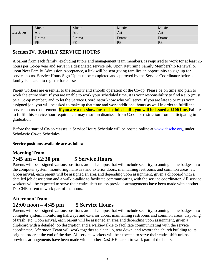|           | Music | Music | Music | Music |
|-----------|-------|-------|-------|-------|
| Electives | Art   | Art   | Art   | Art   |
|           | Drama | Drama | Drama | Drama |
|           | PE    | PE    | PE    | PE    |

## <span id="page-9-0"></span>**Section IV. FAMILY SERVICE HOURS**

A parent from each family, excluding tutors and management team members, is **required** to work for at least 25 hours per Co-op year and serve in a designated service job. Upon Returning Family Membership Renewal or upon New Family Admission Acceptance, a link will be sent giving families an opportunity to sign up for service hours. Service Hours Sign-Up must be completed and approved by the Service Coordinator before a family is cleared to register for classes.

Parent workers are essential to the security and smooth operation of the Co-op. Please be on time and plan to work the entire shift. If you are unable to work your scheduled time, it is your responsibility to find a sub (must be a Co-op member) and to let the Service Coordinator know who will serve. If you are late to or miss your assigned job, you will be asked to make up that time and work additional hours as well in order to fulfill the service hours requirement. **If you are a no-show for a scheduled shift, you will be issued a \$100 fine.** Failure to fulfill this service hour requirement may result in dismissal from Co-op or restriction from participating in graduation.

Before the start of Co-op classes, a Service Hours Schedule will be posted online at [www.dasche.org,](http://www.dasche.org/) under Scholastic Co-op Schedules.

**Service positions available are as follows**:

# <span id="page-9-1"></span>**Morning Team 7:45 am – 12:30 pm 5 Service Hours**

Parents will be assigned various positions around campus that will include security, scanning name badges into the computer system, monitoring hallways and exterior doors, maintaining restrooms and common areas, etc. Upon arrival, each parent will be assigned an area and depending upon assignment, given a clipboard with a detailed job description and a walkie-talkie to facilitate communicating with the service coordinator. All service workers will be expected to serve their entire shift unless previous arrangements have been made with another DasCHE parent to work part of the hours.

## <span id="page-9-2"></span>**Afternoon Team 12:00 noon – 4:45 pm 5 Service Hours**

Parents will be assigned various positions around campus that will include security, scanning name badges into computer system, monitoring hallways and exterior doors, maintaining restrooms and common areas, disposing of trash, etc. Upon arrival, each parent will be assigned an area and depending upon assignment, given a clipboard with a detailed job description and a walkie-talkie to facilitate communicating with the service coordinator. Afternoon Team will work together to clean up, tear down, and restore the church building to its original order at the end of the day. All service workers will be expected to serve their entire shift unless previous arrangements have been made with another DasCHE parent to work part of the hours.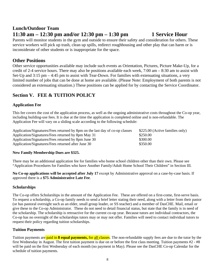# <span id="page-10-0"></span>**Lunch/Outdoor Team 11:30 am – 12:30 pm and/or 12:30 pm – 1:30 pm 1 Service Hour**

Parents will monitor students in the gym and outside to ensure their safety and consideration for others. These service workers will pick up trash, clean up spills, redirect roughhousing and other play that can harm or is inconsiderate of other students or is inappropriate for the space.

## <span id="page-10-1"></span>**Other Positions**

Other service opportunities available may include such events as Orientation, Pictures, Picture Make-Up, for a credit of 2-4 service hours. There may also be positions available each week, 7:00 am – 8:30 am to assist with Set-Up and 3:15 pm – 4:45 pm to assist with Tear-Down. For families with extenuating situations, a very limited number of jobs that can be done at home are available. (Please Note: Employment of both parents is not considered an extenuating situation.) These positions can be applied for by contacting the Service Coordinator.

# <span id="page-10-2"></span>**Section V. FEE & TUITION POLICY**

## <span id="page-10-3"></span>**Application Fee**

This fee covers the cost of the application process, as well as the ongoing administrative costs throughout the Co-op year, including building-use fees. It is due at the time the application is completed online and is non-refundable. The Application Fee will vary on a sliding scale according to the following schedule:

Application/Signatures/Fees returned by 8pm on the last day of co-op classes \$225.00 (Active families only) Application/Signatures/Fees returned by 8pm May 31 \$250.00 Application/Signatures/Fees returned by 8pm June 30 \$300.00 Application/Signatures/Fees returned after June 30 \$350.00

## **New Family Membership Dues are \$325.**

There may be an additional application fee for families who home school children other than their own. Please see "Application Procedures for Families who have Another Family/Adult Home School Their Children" in Section III.

**No Co-op applications will be accepted after July 17** except by Administrative approval on a case-by-case basis. If approved there is a **\$75 Administrative Late Fee**.

## <span id="page-10-4"></span>**Scholarships**

The Co-op offers Scholarships in the amount of the Application Fee. These are offered on a first-come, first-serve basis. To request a scholarship, a Co-op family needs to send a brief letter stating their need, along with a letter from their pastor (or has pastoral oversight such as an elder, small group leader, or SS teacher) and a member of DasCHE. Mail, email or give these to the Co-op Administrator. These do not need to detail financial status, but state that the family is in need of the scholarship. The scholarship is retroactive for the current co-op year. Because tutors are individual contractors, the Co-op has no oversight of the scholarships tutors may or may not offer. Families will need to contact individual tutors to request their policy regarding tuition scholarships.

## <span id="page-10-5"></span>**Tuition Payments**

Tuition payments are paid in **8 equal payments,** for all classes. The non-refundable supply fees are due to the tutor by the first Wednesday in August. The first tuition payment is due on or before the first class meeting. Tuition payments  $#2 - #8$ will be paid on the first Wednesday of each month (no payment in May). Please see the DasCHE Co-op Calendar for the schedule of tuition payments.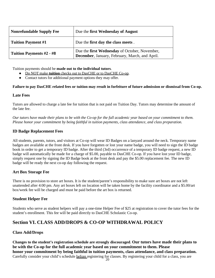| <b>Nonrefundable Supply Fee</b> | Due the first Wednesday of August                                                               |
|---------------------------------|-------------------------------------------------------------------------------------------------|
| <b>Tuition Payment #1</b>       | Due the first day the class meets.                                                              |
| Tuition Payments #2 - #8        | Due the first Wednesday of October, November,<br>December, January, February, March, and April. |

Tuition payments should be **made out to the individual tutors**.

- Do NOT make **tuition** checks out to DasCHE or to DasCHE Co-op.
- Contact tutors for additional payment options they may offer.

#### **Failure to pay DasCHE related fees or tuition may result in forfeiture of future admission or dismissal from Co-op.**

#### <span id="page-11-0"></span>**Late Fees**

Tutors are allowed to charge a late fee for tuition that is not paid on Tuition Day. Tutors may determine the amount of the late fee.

*Our tutors have made their plans to be with the Co-op for the full academic year based on your commitment to them. Please honor your commitment by being faithful in tuition payments, class attendance, and class preparation.*

## <span id="page-11-1"></span>**ID Badge Replacement Fees**

All students, parents, tutors, and visitors at Co-op will wear ID Badges on a lanyard around the neck. Temporary name badges are available at the front desk. If you have forgotten or lost your name badge, you will need to sign the ID badge book in order to get a temporary ID badge. After the third (3rd) occurrence of a temporary ID badge request, a new ID badge will automatically be made for a charge of \$5.00, payable to DasCHE Co-op. If you have lost your ID badge, simply request one by signing the ID Badge book at the front desk and pay the \$5.00 replacement fee. The new ID badge will be ready the next co-op day following the request.

## <span id="page-11-2"></span>**Art Box Storage Fee**

There is no provision to store art boxes. It is the student/parent's responsibility to make sure art boxes are not left unattended after 4:00 pm. Any art boxes left on location will be taken home by the facility coordinator and a \$5.00/art box/week fee will be charged and must be paid before the art box is returned.

## <span id="page-11-3"></span>**Student Helper Fee**

Students who serve as student helpers will pay a one-time Helper Fee of \$25 at registration to cover the tutor fees for the student's enrollment. This fee will be paid directly to DasCHE Scholastic Co-op.

## <span id="page-11-4"></span>**Section VI. CLASS ADD/DROPS & CO-OP WITHDRAWAL POLICY**

## <span id="page-11-5"></span>**Class Add/Drops**

**Changes to the student's registration schedule are strongly discouraged**. **Our tutors have made their plans to be with the Co-op for the full academic year based on your commitment to them. Please honor your commitment by being faithful in tuition payments, class attendance, and class preparation.**  Carefully consider your child's schedule before registering for classes. By registering your child for a class, you are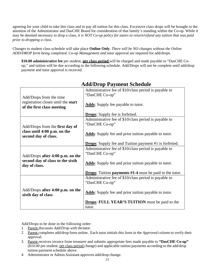agreeing for your child to take this class and to pay all tuition for this class. Excessive class drops will be brought to the attention of the Administrator and DasCHE Board for consideration of that family's standing within the Co-op. While it may be deemed necessary to drop a class, *it is NOT Co-op policy for tutors to return/refund any tuition that was paid prior to dropping a class.*

Changes to student class schedule will take place **Online Only**. *There will be NO changes without the Online ADD/DROP form being completed. Co-op Management and* tutor approval are required for add/drops.

**\$10.00 administrative fee** per student, **per class period** will be charged and made payable to "DasCHE Coop," and tuition will be due according to the following schedule. Add/Drops will not be complete until add/drop payment and tutor approval is received.

<span id="page-12-0"></span>

|                                     | Administrative fee of \$10/class period is payable to                   |
|-------------------------------------|-------------------------------------------------------------------------|
|                                     | "DasCHE Co-op"                                                          |
| Add/Drops from the time             |                                                                         |
| registration closes until the start |                                                                         |
| of the first class meeting          | <b>Adds:</b> Supply fee payable to tutor.                               |
|                                     |                                                                         |
|                                     | <b>Drops:</b> Supply fee is forfeited.                                  |
|                                     | Administrative fee of \$10/class period is payable to                   |
|                                     | "DasCHE Co-op"                                                          |
| Add/Drops from the first day of     |                                                                         |
| class until 4:00 p.m. on the        |                                                                         |
| second day of class.                | <b>Adds:</b> Supply fee and prior tuition payable to tutor.             |
|                                     |                                                                         |
|                                     | <b>Drops:</b> Supply fee and Tuition payment #1 is forfeited.           |
|                                     | Administrative fee of \$10/class period is payable to                   |
|                                     | "DasCHE Co-op"                                                          |
| Add/Drops after 4:00 p.m. on the    |                                                                         |
| second day of class to the sixth    |                                                                         |
| day of class.                       | <b>Adds:</b> Supply fee and prior tuition payable to tutor.             |
|                                     |                                                                         |
|                                     | <b>Drops:</b> Tuition <b>payments</b> $#1-4$ must be paid to the tutor. |
|                                     | Administrative fee of \$10/class period is payable to                   |
|                                     | "DasCHE Co-op"                                                          |
|                                     |                                                                         |
| Add/Drops after 4:00 p.m. on the    |                                                                         |
| sixth day of class                  | <b>Adds:</b> Supply fee and prior tuition payable to tutor.             |
|                                     |                                                                         |
|                                     | <b>Drops: FULL YEAR'S TUITION</b> must be paid to the                   |
|                                     | tutor.                                                                  |

# **Add/Drop Payment Schedule**

Add/Drops to be done in the following order:

- *1.* Parent discusses *Add/Drop with thetutor.*
- 2. Parent completes add/drop form online. Each tutor initials this form in the *Approved column* to verify their approval.
- 3. Parent receives invoice from treasurer and submits appropriate fees made payable to **"DasCHE Co-op"**  (\$10.00 per student, per class period change) and applicable tuition payments according to the add/drop tuition payment schedule above.
- 4. Administrator or Admin Assistant approves add/drop change.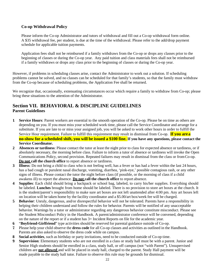## <span id="page-13-0"></span>**Co-op Withdrawal Policy**

Please inform the Co-op Administrator and tutors of withdrawal and fill out a Co-op withdrawal form online. A \$35 withdrawal fee, per student, is due at the time of the withdrawal. Please refer to the add/drop payment schedule for applicable tuition payments.

Application fees shall not be reimbursed if a family withdraws from the Co-op or drops any classes prior to the beginning of classes or during the Co-op year. Any paid tuition and class materials fees shall not be reimbursed if a family withdraws or drops any class prior to the beginning of classes or during the Co-op year.

However, if problems in scheduling classes arise, contact the Administrator to work out a solution. If scheduling problems cannot be solved, and no classes can be scheduled for that family's students, so that the family must withdraw from the Co-op because of scheduling problems, the Application Fee shall be returned.

We recognize that, occasionally, extenuating circumstances occur which require a family to withdraw from Co-op; please bring these situations to the attention of the Administrator.

## <span id="page-13-2"></span><span id="page-13-1"></span>**Section VII. BEHAVIORAL & DISCIPLINE GUIDELINES Parent Guidelines**

- **1. Service Hours**: Parent workers are essential to the smooth operation of the Co-op. Please be on time as others are depending on you. If you must miss your scheduled work time, please call the Service Coordinator and arrange for a substitute. If you are late to or miss your assigned job, you will be asked to work other hours in order to fulfill the Service Hour requirement. Failure to fulfill this requirement may result in dismissal from Co-op. **If you are a no-show for a scheduled shift, you will be issued a \$100 fine.** If you have any questions, please contact the **Service Coordinator.**
- **2. Absences or tardiness**: Please contact the tutor at least the night prior to class for expected absence or tardiness, or if absolutely necessary, the morning before class. Failure to inform a tutor of absence or tardiness will invoke the Open Communications Policy, second provision. Repeated failures may result in dismissal from the class or fromCo-op. **Do not call the church office** to report absence or tardiness.
- **3. Illness**: Do not bring a child to class who is not feeling well, has a fever or has had a fever within the last 24 hours, has a bad cough or purulent nasal discharge, vomiting, diarrhea, 'pink-eye,' possible contagious rash, or any other signs of illness. Please contact the tutor the night before class (if possible, or the morning of class if a child awakens ill) to report the absence. **Do not call the church office** to report absence.
- **4. Supplies**: Each child should bring a backpack or school bag, labeled, to carry his/her supplies. Everything should be labeled. **Lunches** brought from home should be labeled. There is no provision to store art boxes at the church. It is the student/parent's responsibility to make sure art boxes are not left unattended after 4:00 pm. Any art boxes left on location will be taken home by the facility coordinator and a \$5.00/art box/week fee will be charged.
- **5. Behavior**: Unruly, dangerous, and/or disrespectful behavior will not be tolerated. Parents have a responsibility in helping their children understand and follow the rules for behavior. Parents will be notified of any unacceptable behavior. Warnings by a tutor or administrator regarding any dangerous behavior constitute misconduct. Please see the Student Misconduct Policy in the Handbook. A parent/administrator conference will be convened, depending on the nature of the report or if a student has 3+ Incident Reports on file for the academic year.
- **6.** "**Boyfriend-Girlfriend**" type activities should be reserved for parental guidance outside of Co-op.
- **7.** Please help your child observe the **dress code** for all Co-op classes and activities as outlined in the Handbook. Parents are also asked to observe the dress code while on campus.
- **8. Social activities**, such as birthday or party invitations, need to be conducted outside of Co-op time.
- **9. Supervision**: Elementary students who are not enrolled in a class or study hall must be with a parent. Junior and Senior High students should be enrolled in a class, study hall, or off campus (not "with Parent"). Unsupervised children are **not allowed** and will be placed in study hall, charged to the parent. Study Hall payment will be made payable to the study hall tutor. Failure to observe this rule may be grounds for dismissal.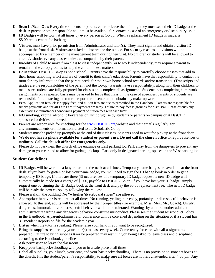- **10. Scan In/Scan Out**: Every time students or parents enter or leave the building, they must scan their ID badge at the desk. A parent or other responsible adult must be available for contact in case of an emergency or disciplinary issue.
- **11. ID Badges** will be worn at all times by every person at Co-op. When a replacement ID badge is made, a \$5.00 replacement fee is charged.
- **12. Visitors** must have prior permission from Administrator and tutor(s). They must sign in and obtain a visitor ID badge at the front desk. Visitors are asked to observe the dress code. For security reasons, all visitors will be accompanied by a member of the management team during their visit. No children or students will be allowed to attend/visit/observe any classes unless accompanied by their parent.
- **13.** Inability of a child to move from class to class independently, or to work independently, may require a parent to remain on the co-op grounds to help the child in these matters.
- **14. Education**: DasCHE Co-op is not a school. Parents have the responsibility to carefully choose classes that add to their home schooling effort and are of benefit to their child's education. Parents have the responsibility to contact the tutor for any information that the parent needs for their own home school records and/or transcripts. (Transcripts and grades are the responsibilities of the parent, not the Co-op). Parents have a responsibility, along with their children, to make sure students are fully prepared for classes and complete all assignments. Students not completing homework assignments on a repeated basis may be asked to leave that class. In the case of absences, parents or students are responsible for contacting the tutor to report the absence and to obtain any make-up work.
- **15. Fees**: Application fees, class supply fees, and tuition fees are due as prescribed in the Handbook. Parents are responsible for timely payments and for all Late Fees if payments are tardy. Failure to pay fees is grounds for dismissal. Please discuss any extenuating circumstances concerning payment of tuition fees with each tutor.
- **16. NO** smoking, vaping, alcoholic beverages or illicit drug use by students or parents on campus or at DasCHE sponsored activities is allowed.
- **17.** Parents are responsible for checking for the [www.DasCHE.org w](http://www.dasche.org/)ebsite and their emails regularly, for any announcements or information related to the Scholastic Co-op.
- **18.** Students must be picked up promptly at the end of their classes. Students need to wait for pick up at the front door.
- **19. We do not have a phone available for student or parent's use. Do not call the church office** to report absences or tardiness. **Call the church office for emergencies only.**
- **20.** Please do not park near the church office entrance or East parking lot. Park away from the dumpsters to prevent any damage to your car and to allow for garbage pickups. Park only in designated parking spaces in the West parkinglot.

## <span id="page-14-0"></span>**Student Guidelines**

- 1. **ID Badges** will be worn on a lanyard around the neck at all times. Temporary name badges are available at the front desk. If you have forgotten or lost your name badge, you will need to sign the ID badge book in order to get a temporary ID badge. If there are three (3) occurrences of a temporary ID badge request, a new ID badge will automatically be made for a charge of \$5.00, payable to DasCHE Co-op. If you have lost your ID badge, simply request one by signing the ID Badge book at the front desk and pay the \$5.00 replacement fee. The new ID badge will be ready the next co-op day following the request.
- **2.** Please **walk** in the building. **No "wheelies/skateboard shoes" are allowed.**
- 3. Appropriate **behavior** is required at all times. No running, yelling, horseplay, profanity, or disrespectful behavior is allowed. To this end, adults will be addressed by their proper titles (for example, Miss, Mrs., Mr., Coach). Unruly, dangerous, immoral, and/or disrespectful behavior will not be tolerated. Warnings by a tutor, another adult, or administrator regarding any dangerous behavior constitute misconduct. Please see the Student Misconduct Policy in the Handbook. A parent/administrator conference will be convened depending on the situation or if a student has 3+ Incident Reports on file for the academicyear.
- 4. **Listen** when the tutor is speaking. Please raise your hand if you want to be recognized.
- 5. Bring the **supplies** required by your tutor(s) to class every week. Come ready for class with all assignments prepared. Failure to bring supplies &/or be prepared may result in you being asked to leave class and disciplined according to the Handbook guidelines.
- 6. **Ask** permission to leave the classroom.
- 7. **Keep** your backpack/schoolbag with you or in a safe place at all times.
- the church. It is the student/parent's responsibility to make sure art boxes are not left unattended after 4:00 pm. Any 23 8. **Label** all supplies, your lunch, your coat, and your backpack/schoolbag. There is no provision to store art boxes at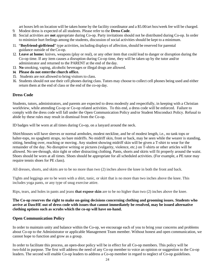art boxes left on location will be taken home by the facility coordinator and a \$5.00/art box/week fee will be charged.

- 9. Modest dress is expected of all students. Please refer to the **Dress Code**.
- 10. Social activities are **not** appropriate during Co-op. Party invitations should not be distributed during Co-op. In order to minimize hurt feelings among the students, discussion of social activities should be kept to a minimum.
- 11. "**Boyfriend-girlfriend**" type activities, including displays of affection, should be reserved for parental guidance outside of the Co-op.
- 12. **Leave at home:** knives, weapons (play or real), or any other item that could lead to danger or disruption during the Co-op time. If any item causes a disruption during Co-op time, they will be taken up by the tutor and/or administrator and returned to the PARENT at the end of the day.
- 13. **No** smoking, vaping, alcoholic beverages or illegal drugs are allowed.
- **14. Please do not enterthe church office.**
- 15. Students are not allowed to bring visitors to class.
- 16. Students should not use their cell phones during class. Tutors may choose to collect cell phones being used and either return them at the end of class or the end of the co-op day.

## <span id="page-15-0"></span>**Dress Code**

Students, tutors, administrators, and parents are expected to dress modestly and respectfully, in keeping with a Christian worldview, while attending Co-op or Co-op related activities. To this end, a dress code will be enforced. Failure to comply with the dress code will fall under the Open Communication Policy and/or Student Misconduct Policy. Refusal to abide by these rules may result in dismissal from the Co-op.

ID badges will be worn at all times during Co-op, on a lanyard around the neck.

Shirt/blouses will have sleeves or normal armholes, modest neckline, and be of modest length, i.e., no tank tops or halter-tops, no spaghetti straps, no bare midriffs. No midriff skin, front or back, may be seen while the wearer is standing, sitting, bending over, reaching or moving. Any student showing midriff skin will be given a T-shirt to wear for the remainder of the day. No disruptive writing or pictures (vulgarity, violence, etc.) on T-shirts or other articles will be allowed. No see-through, skin tight or other distracting clothing. Pants, shorts and skirts will fit properly around the waist. Shoes should be worn at all times. Shoes should be appropriate for all scheduled activities. (For example, a PE tutor may require tennis shoes for PE class).

All dresses, shorts, and skirts are to be no more than two (2) inches above the knee in both the front and back.

Tights and leggings are to be worn with a shirt, tunic, or skirt that is no more than two inches above the knee. This includes yoga pants, or any type of snug exercise attire.

Rips, tears, and holes in pants and jeans **that expose skin** are to be no higher than two (2) inches above the knee.

**The Co-op reserves the right to make on-going decisions concerning clothing and grooming issues. Students who arrive at DascHE out of dress code with issues that cannot immediately be resolved, may be issued alternative clothing options such as scrubs which the co-op will have on-hand.**

## <span id="page-15-1"></span>**Open Communication Policy**

In order to maintain unity and balance within the Co-op, we encourage each of you to bring your concerns and problems about Co-op to the Administrator or applicable Management Team member. Without honest and open communication, we cannot hope to function and grow as a group.

In order to facilitate this process, an open-door policy will be in effect for all Co-op members. This policy will be two-fold in purpose. The first will address the need of any Co-op member to voice an opinion or suggestion to the Co-op leaders. The second will enable Co-op leaders to address a Co-op member in regard to neglect of Co-op guidelines.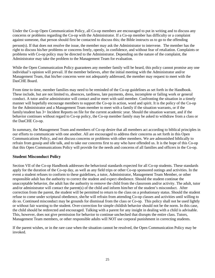Under the Co-op Open Communication Policy, all Co-op members are encouraged to put in writing and to discuss any concerns or problems regarding the Co-op with the Administrator. If a Co-op member has difficulty or a complaint against someone, that person should first be contacted to discuss this; the Bible instructs us to go to the offending

person(s). If that does not resolve the issue, the member may ask the Administrator to intervene. The member has the right to discuss his/her problems or concerns freely, openly, in confidence, and without fear of retaliation. Complaints or problems with Co-op policy may be directed to the Administrator. Depending on the nature of the complaint, the Administrator may take the problem to the Management Team for evaluation.

While the Open Communication Policy guarantees any member family will be heard, this policy cannot promise any one individual's opinion will prevail. If the member believes, after the initial meeting with the Administrator and/or Management Team, that his/her concerns were not adequately addressed, the member may request to meet with the DasCHE Board.

From time to time, member families may need to be reminded of the Co-op guidelines as set forth in the Handbook. These include, but are not limited to, absences, tardiness, late payments, dress, incomplete or failing work or general conduct. A tutor and/or administrator will contact and/or meet with said member. Confronting the situation in a timely manner will hopefully encourage members to support the Co-op in action, word and spirit. It is the policy of the Co-op for the Administrator and a Management Team member to meet with a family if the situation warrants, or if the family/student has 3+ Incident Reports on file for the current academic year. Should the situation warrant, and if the behavior continues without regard to Co-op policy, the Co-op member family may be asked to withdraw from a class or the DasCHE Co-op.

In summary, the Management Team and members of Co-op desire that all members act according to biblical principles in our efforts to communicate with one another. All are encouraged to address their concerns as set forth in this Open Communications Policy, and not discuss concerns or problems with other members. We are admonished biblically to refrain from gossip and idle talk, and to take our concerns first to any who have offended us. It is the hope of this Co-op that this Open Communications Policy will provide for the needs and concerns of all families and officers in the Co-op.

## <span id="page-16-0"></span>**Student Misconduct Policy**

Section VII of the Co-op Handbook addresses the behavioral standards expected for all Co-op students. These standards apply for the duration of the Co-op day, as well as any field trips or other Co-op sponsored outings and activities. In the event a student refuses to conform to these guidelines, a tutor, Administrator, Management Team Member, or other responsible adult has the authority to correct the student and expect obedience. Should the student continue the unacceptable behavior, the adult has the authority to remove the child from the classroom and/or activity. The adult, tutor and/or administrator will contact the parent(s) of the child and inform him/her of the student's misconduct. After correction from the parent, the student will be permitted to return to the class on a probationary status. Should the student refuse to come under scriptural obedience, she/he will refrain from attending Co-op classes and activities until willing to do so. Continued misconduct may be grounds for dismissal from the class or Co-op. This policy shall not be used lightly or without fair warning to the student. Over-correction for simple childish behavior should not be the norm. In this case, the child should be redirected and encouraged. Talking with a parent for any insight in dealing with a child is advisable. This, however, does not give permission for behavior to continue unchecked that disrupts the entire class. Tutors, Management Team members, or other responsible adults will NOT use corporal punishment in correcting students.

<span id="page-16-1"></span>If the parent wishes, or in the rare case when the situation cannot be resolved, the Open Communication Policy may be invoked.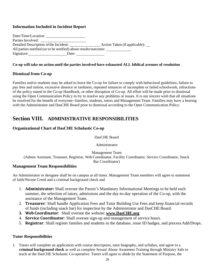## **Information Included in Incident Report**

| Date/Time/Location:                                             |                                   |  |
|-----------------------------------------------------------------|-----------------------------------|--|
| Parties Involved:                                               |                                   |  |
| Detailed Description of the Incident:                           | Action Taken (if applicable): ___ |  |
| All parties notified (or to be notified) about results/outcome: |                                   |  |
| Signature:<br>Date:                                             |                                   |  |

## **Co-op will take no action until the parties involved have exhausted ALL biblical avenues of resolution** .

## <span id="page-17-0"></span>**Dismissal from Co-op**

Families and/or students may be asked to leave the Co-op for failure to comply with behavioral guidelines, failure to pay fees and tuition, excessive absence or tardiness, repeated instances of incomplete or failed schoolwork, infractions of the policy stated in the Co-op Handbook, or other disruption of Co-op. All effort will be made prior to dismissal using the Open Communication Policy to try to resolve any problems or issues. It is our sincere wish that all situations be resolved for the benefit of everyone--families, students, tutors and Management Team. Families may have a hearing with the Administrator and DasCHE Board prior to dismissal according to the Open Communication Policy.

## **Section VIII. ADMINISTRATIVE RESPONSIBILITIES**

## <span id="page-17-1"></span>**Organizational Chart of DasCHE Scholastic Co-op**

DasCHE Board

| Administrator

Management Team (Admin Assistant, Treasurer, Registrar, Web Coordinator, Facility Coordinator, Service Coordinator, Snack Bar Coordinator)

## <span id="page-17-2"></span>**Management Team Responsibilities**

An Administrator or designee shall be on campus at all times. Management Team members will agree to statement of faith/Nicene Creed and a criminal background check and

- 1. **Administrator:** Shall oversee the Parent's Mandatory Informational Meetings to be held each summer, the selection of tutors, admissions and the day-to-day operation of the Co-op, with the assistance of the Management Team.
- 2. **Treasurer**: Shall handle Application Fees and Tutor Building Use Fees and keep financial records of funds (including snack bar) for inspection by the Administrator and DasCHE Board.
- **3. Web Coordinator**: Shall oversee the website: **[www.DasCHE.org](http://www.dasche.org/)**
- 4. **Service Coordinator**: Shall oversee sign-up and management of service hours.
- 5. **Registrar**: Shall register families and students in the database, issue ID badges, and process Add/Drops.

## <span id="page-17-3"></span>**Tutor Responsibilities**

1. Tutors will complete an application with course description, tutor biography, and syllabus, and agree to a **criminal background check** as well as complete Sexual Abuse Awareness Training through Ministry Safe to teach at the DasCHE Scholastic Co-operative. Tutors will agree to abide by the Statement of Purpose, the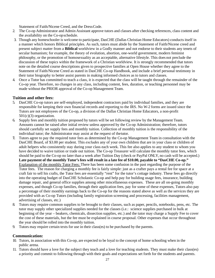Statement of Faith/Nicene Creed, and the DressCode.

- 2. The Co-op Administrator and Admin Assistant approve tutors and classes after checking references, class content and the availability on the Co-opschedule.
- 3. Though any homeschooler is welcome to participate, DasCHE (Dallas Christian Home Educators) conducts itself in a manner which honors Biblical principles. As such, tutors must abide by the Statement of Faith/Nicene creed and present subject matter from a **Biblical** worldview in a Godly manner and not endorse to their students any tenets of secular humanism; for example, the theory of evolution, abortion, one-world government, modern feminist philosophy, or the promotion of homosexuality as an acceptable, alternative lifestyle. This does not preclude the discussion of these topics within the framework of a Christian worldview. It is strongly recommended that tutors note on the detailed course descriptions given to prospective families at Open House whether they agree to the Statement of Faith/Nicene Creed as stated in DasCHE Co-op Handbook, and include a brief personal testimony in their tutor biography to better assist parents in making informed choices as to tutors and classes.
- 4. Once a Tutor has committed to teach a class, it is expected that the class will be taught through the remainder of the Co-op year. Therefore, no changes in any class, including content, fees, duration, or teaching personnel may be made without the PRIOR approval of the Co-op Management Team.

## <span id="page-18-0"></span>**Tuition and other fees:**

- 5. DasCHE Co-op tutors are self-employed, independent contractors paid by individual families, and they are responsible for keeping their own financial records and reporting to the IRS. No W-2 forms are issued since the Tutors are not employees of the Co-op, a division of the Dallas Christian Home Educators, a non-profit  $501(c)(3)$  organization.
- 6. Supply fees and monthly tuition proposed by tutors will be set following review by the Management Team. Amounts cannot be raised after initial review unless approved by the Co-op Administration; therefore, tutors should carefully set supply fees and monthly tuition. Collection of monthly tuition is the responsibility of the individual tutor; the Administrator may assist at the request of thetutor.
- **7.** Tutors agree to pay the required tutor fees as determined by the Co-op Management Team in consultation with the DasCHE Board, of \$3.00 per student. This *excludes* any of your own children that are in your class or children of adult helpers who consistently stay during your class each week. This fee also applies to any student to whom you have decided to waive tuition or trade out tuition. The Co-op Treasurer will calculate the monthly tutor fees, which should be paid to the Co-op no later than a week after Tuition Day (check or PayPal ONLY, no cash will be accepted.) Late payment of the monthly Tutor's fees will result in a late fee of \$10.00, payable to "DasCHE Co-op." Explanation of the monthly Tutor Fees: There has been some confusion in the past regarding the purpose of the Tutor fees. The reason for charging a monthly fee is fairly simple: just as a crafter pays a rental fee for space at a craft fair to sell his crafts, the Tutor fees are essentially "rent" for the tutor's cottage industry. These fees go directly into the operating budget of DasCHE Scholastic Co-op and help pay for building usage fees, insurance, building damage repair, and general office supplies among other miscellaneous expenses. These are all on-going monthly expenses, and though Co-op families, through their application fees, pay for some of these expenses, Tutors also pay a percentage of their monthly earnings back to the Co-op for the reasons stated above as well as the services they are provided with as Co-op Tutors (including family registration screening and processing, facilities management, advertising of classes, etc.)
- 8. Tutors may require common supplies to be brought to their classes, such as paper, pencils, notebooks, pens, etc. The tutor may supply other specialized supplies needed for the classes (i.e.: science supplies purchased in bulk at beginning of the year – beakers, chemicals, dissection supplies, etc.) and the tutor may charge a Supply Fee to cover the cost of these materials, but the fee must be explained in course proposal. Other expenses that occur throughout the year should be rolled into the monthly tuition.
- 9. Tutors may require certain texts for use in their class(es) to be purchased by the parents.

## <span id="page-18-1"></span>**Communication:**

- 10. Tutors, in association with this Co-op, are expected to be loyal to the concept of home schooling when in the public arena.
- 11. Tutors should have a love for the subject they teach and a love for teaching students. They must make their class(es) a priority and commit to following through with their goals and expectations set forth for the students and parents.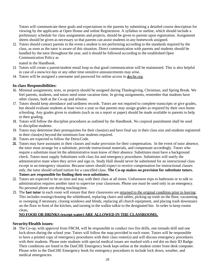Tutors will communicate these goals and expectations to the parents by submitting a detailed course description for viewing by the applicants at Open House and online Registration. A syllabus or outline, which should include a preliminary schedule for class assignments and projects, should be given to parents upon registration. Assignment sheets should be given as necessary so that parents can assist students in any homework assigned.

12. Tutors should contact parents in the event a student is not performing according to the standards required by the class, as soon as the tutor is aware of this situation. Direct communication with parents and students should be handled by the tutor throughout the year, and it should be followed according to the established Open Communication Policy as

stated in the Handbook.

- 13. Tutors will create a parent/student email loop so that good communication will be maintained. This is also helpful in case of a snow/ice day or any other time sensitive announcements may arise.
- 14. Tutors will be assigned a username and password for online access to **desche.org**.

## <span id="page-19-0"></span>**In class Responsibilities:**

- 16. Minimal assignments, tests, or projects should be assigned during Thanksgiving, Christmas, and Spring Break. We feel parents, students, and tutors need some vacation time. In giving assignments, remember that students have other classes, both at the Co-op and athome.
- 17. Tutors should keep attendance and tardiness records. Tutors are not required to complete transcripts or give grades, but should evaluate students at least twice a year so that parents may assign grades as required by their own home schooling. Any grades given to students (such as on a report or paper) should be made available to parents to help in their grading.
- 18. Tutors will follow the discipline procedures as outlined by the Handbook. No corporal punishment shall be used to discipline students.
- 19. Tutors may determine their prerequisites for their class(es) and have final say in their class size and students registered in their class(es) beyond the minimum four students required.
- 20. Tutors are expected to follow the DressCode.
- **21.** Tutors may have assistants in their classes and make provision for their compensation. In the event of tutor absence, the tutor must arrange for a substitute, provide instructional materials, and compensate accordingly. Tutors who require a substitute must let the administrative team know of their absence. Substitutes must have a background check. Tutors must supply Substitutes with class list and emergency procedures. Substitutes will notify the administrative team when they arrive and sign in. Study Hall should never be substituted for an instructional class except in an emergency situation. Because tutors should expect to receive compensation for instructional classes only, the tutor should refund tuition for a cancelled class. **The Co-op makes no provision for substitute tutors. Tutors are responsible for finding their own substitutes.**
- 22. Tutors are expected to be on time and stay with their class at all times. Unforeseen trips to bathroom or to talk to administration requires another tutor to supervise your classroom. Phone use must be used only in an emergency. No personal phone use during teachingtime.
- 23. The **last tutor** in each room will ensure that their classrooms are returned to the original condition prior to leaving. This includes erasing/cleaning the whiteboard, replacing chairs and tables, picking up trash on the floor, vacuuming or sweeping if necessary, closing windows and blinds, replacing all church equipment, and placing trash downstairs on the floor in front of the kitchen, and turning in the walkie talkie to the designated bin. In order to keep rooms clean,

## **NO FOOD OR DRINKS (except water) ARE ALLOWED IN THE CLASSROOMS.**

## <span id="page-19-1"></span>**Security/Health issues***:*

24. The Co-op, with approval from FBCM, will be responsible to conduct two fire drills, one tornado drill and one lock-down during the school year. Tutors will follow the map provided in each room. Tutors will be responsible to have a printed copy of emergency procedures with their class roster(s) and will discuss emergency procedures with their students. Please note students with special medical issues are marked with a red dot on their ID Badge. Their conditions are listed in the DasCHE Emergency book kept online at the student center front desk computer. Please refer to the DasCHE Emergency book for emergency procedures to include lock down, weather, and medical emergencies.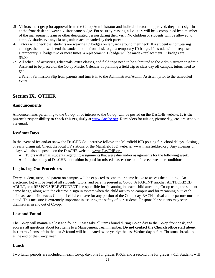- 25. Visitors must get prior approval from the Co-op Administrator and individual tutor. If approved, they must sign-in at the front desk and wear a visitor name badge. For security reasons, all visitors will be accompanied by a member of the management team or other designated person during their visit. No children or students will be allowed to attend/visit/observe any classes, unless accompanied by their parent.
- 26. Tutors will check that students are wearing ID badges on lanyards around their neck. If a student is not wearing a badge, the tutor will send the student to the front desk to get a temporary ID badge. If a student/tutor requests a temporary ID badge two or more times, a replacement ID badge will be made - replacement ID badges are \$5.00.
- 27. All scheduled activities, rehearsals, extra classes, and field trips need to be submitted to the Administrator or Admin Assistant to be placed on the Co-op Master Calendar. If planning a field trip or class day off campus, tutors need to get

a Parent Permission Slip from parents and turn it in to the Administrator/Admin Assistant prior to the scheduled event.

## <span id="page-20-0"></span>**Section IX. OTHER**

#### <span id="page-20-1"></span>**Announcements**

Announcements pertaining to the Co-op, or of interest to the Co-op, will be posted on the DasCHE website. **It is the parent's responsibility to check this regularly** at **www.dacshe.org.** Reminders for tuition, picture day, etc. are sent out via email.

## <span id="page-20-2"></span>**Ice/Snow Days**

In the event of ice and/or snow the DasCHE Co-operative follows the Mansfield ISD posting for school delays, closings, or early dismissal. Check the local TV stations or the Mansfield ISD website: [www.mansfieldisd.org.](http://www.mansfieldisd.org/) Any closings or delays will also be posted on the DasCHE website: [www.DasCHE.org.](http://www.dasche.org/)

- Tutors will email students regarding assignments that were due and/or assignments for the following week.
- It is the policy of DasCHE that **tuition is paid** for missed classes due to unforeseen weather conditions.

## <span id="page-20-3"></span>**Log in/Log Out Procedures**

Every student, tutor, and parent on campus will be expected to scan their name badge to access the building. An electronic log will be kept of all students, tutors, and parents present at Co-op. A PARENT, another AUTHORIZED ADULT, or a RESPONSIBLE STUDENT is responsible for "scanning in" each child attending Co-op using the student name badge, along with the electronic sign in system when the child arrives on campus and for "scanning out" each child as each child leaves Co-op. If children leave for any portion of the Co-op day, EACH arrival and departure must be noted. This measure is extremely important in assuring the safety of our students. Responsible students may scan themselves in and out of Co-op.

## <span id="page-20-4"></span>**Lost and Found**

The Co-op will maintain a lost and found. Please take all items found during Co-op day to the Co-op front desk, and address all questions about lost items to a Management Team member. **Do not contact the Church office staff about lost items.** Items left in the lost & found will be donated twice yearly; the last Wednesday before Christmas break and at the end of the Co-op year.

## <span id="page-20-5"></span>**Lunch**

Two lunch periods are included in each Co-op day, one for grades K-6th, and a second one for grades 7-12. Students will